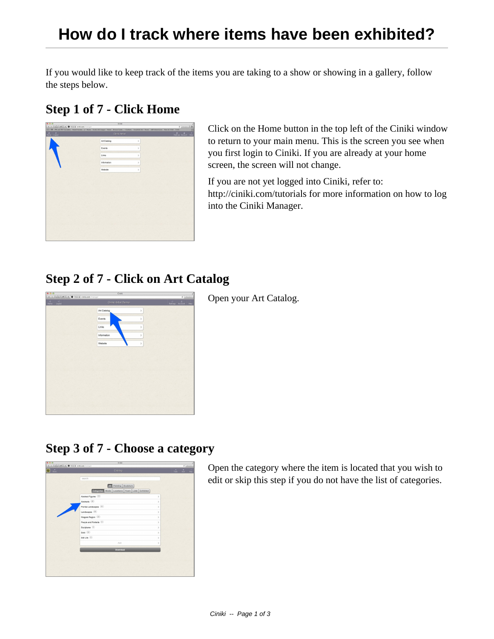If you would like to keep track of the items you are taking to a show or showing in a gallery, follow the steps below.

#### **Step 1 of 7 - Click Home**



Click on the Home button in the top left of the Ciniki window to return to your main menu. This is the screen you see when you first login to Ciniki. If you are already at your home screen, the screen will not change.

If you are not yet logged into Ciniki, refer to: http://ciniki.com/tutorials for more information on how to log into the Ciniki Manager.

# **Step 2 of 7 - Click on Art Catalog**



Open your Art Catalog.

## **Step 3 of 7 - Choose a category**



Open the category where the item is located that you wish to edit or skip this step if you do not have the list of categories.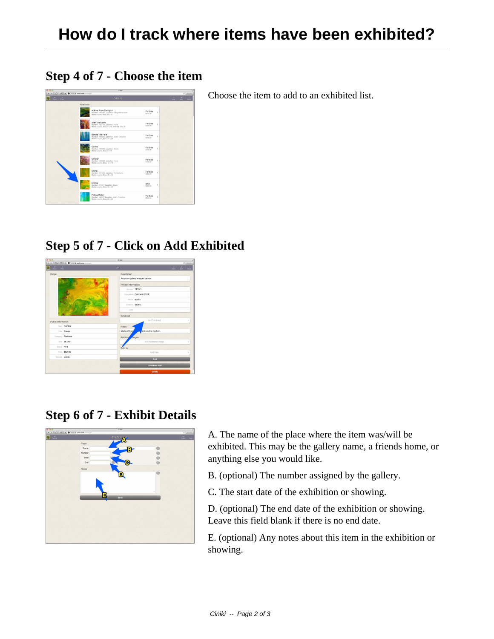### **Step 4 of 7 - Choose the item**

Choose the item to add to an exhibited list.



### **Step 5 of 7 - Click on Add Exhibited**



## **Step 6 of 7 - Exhibit Details**



A. The name of the place where the item was/will be exhibited. This may be the gallery name, a friends home, or anything else you would like.

- B. (optional) The number assigned by the gallery.
- C. The start date of the exhibition or showing.

D. (optional) The end date of the exhibition or showing. Leave this field blank if there is no end date.

E. (optional) Any notes about this item in the exhibition or showing.